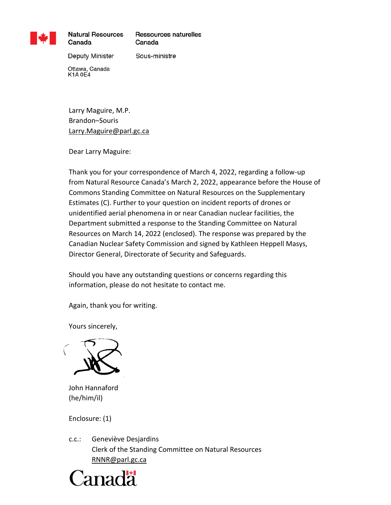

**Natural Resources** Canada

Ressources naturelles Canada

Deputy Minister

Sous-ministre

Ottawa, Canada **K1A0E4** 

Larry Maguire, M.P. Brandon–Souris Larry.Maguire@parl.gc.ca

Dear Larry Maguire:

Thank you for your correspondence of March 4, 2022, regarding a follow-up from Natural Resource Canada's March 2, 2022, appearance before the House of Commons Standing Committee on Natural Resources on the Supplementary Estimates (C). Further to your question on incident reports of drones or unidentified aerial phenomena in or near Canadian nuclear facilities, the Department submitted a response to the Standing Committee on Natural Resources on March 14, 2022 (enclosed). The response was prepared by the Canadian Nuclear Safety Commission and signed by Kathleen Heppell Masys, Director General, Directorate of Security and Safeguards.

Should you have any outstanding questions or concerns regarding this information, please do not hesitate to contact me.

Again, thank you for writing.

Yours sincerely,



John Hannaford (he/him/il)

Enclosure: (1)

c.c.: Geneviève Desjardins Clerk of the Standing Committee on Natural Resources [RNNR@parl.gc.ca](mailto:RNNR@parl.gc.ca)

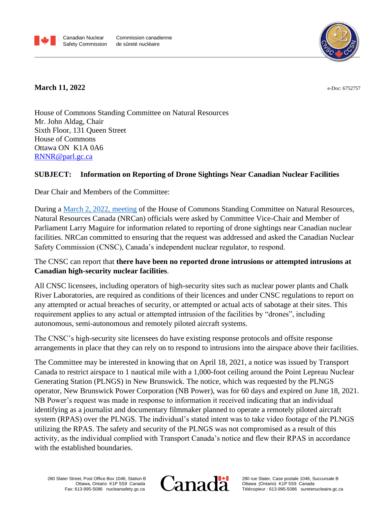



## **March 11, 2022**

e-Doc: 6752757

House of Commons Standing Committee on Natural Resources Mr. John Aldag, Chair Sixth Floor, 131 Queen Street House of Commons Ottawa ON K1A 0A6 [RNNR@parl.gc.ca](mailto:RNNR@parl.gc.ca)

## **SUBJECT: Information on Reporting of Drone Sightings Near Canadian Nuclear Facilities**

Dear Chair and Members of the Committee:

During a [March 2, 2022,](https://www.ourcommons.ca/DocumentViewer/en/44-1/RNNR/meeting-10/notice) meeting of the House of Commons Standing Committee on Natural Resources, Natural Resources Canada (NRCan) officials were asked by Committee Vice-Chair and Member of Parliament Larry Maguire for information related to reporting of drone sightings near Canadian nuclear facilities. NRCan committed to ensuring that the request was addressed and asked the Canadian Nuclear Safety Commission (CNSC), Canada's independent nuclear regulator, to respond.

## The CNSC can report that **there have been no reported drone intrusions or attempted intrusions at Canadian high-security nuclear facilities**.

All CNSC licensees, including operators of high-security sites such as nuclear power plants and Chalk River Laboratories, are required as conditions of their licences and under CNSC regulations to report on any attempted or actual breaches of security, or attempted or actual acts of sabotage at their sites. This requirement applies to any actual or attempted intrusion of the facilities by "drones", including autonomous, semi-autonomous and remotely piloted aircraft systems.

The CNSC's high-security site licensees do have existing response protocols and offsite response arrangements in place that they can rely on to respond to intrusions into the airspace above their facilities.

The Committee may be interested in knowing that on April 18, 2021, a notice was issued by Transport Canada to restrict airspace to 1 nautical mile with a 1,000-foot ceiling around the Point Lepreau Nuclear Generating Station (PLNGS) in New Brunswick. The notice, which was requested by the PLNGS operator, New Brunswick Power Corporation (NB Power), was for 60 days and expired on June 18, 2021. NB Power's request was made in response to information it received indicating that an individual identifying as a journalist and documentary filmmaker planned to operate a remotely piloted aircraft system (RPAS) over the PLNGS. The individual's stated intent was to take video footage of the PLNGS utilizing the RPAS. The safety and security of the PLNGS was not compromised as a result of this activity, as the individual complied with Transport Canada's notice and flew their RPAS in accordance with the established boundaries.

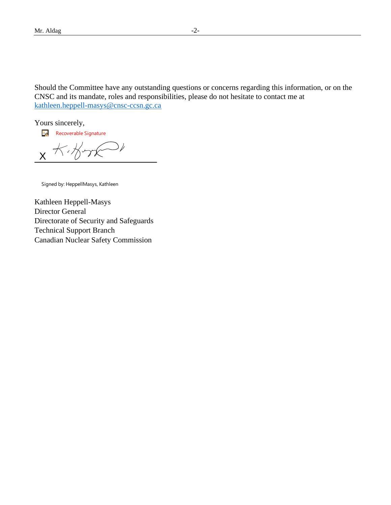Should the Committee have any outstanding questions or concerns regarding this information, or on the CNSC and its mandate, roles and responsibilities, please do not hesitate to contact me at [kathleen.heppell-masys@cnsc-ccsn.gc.ca](mailto:kathleen.heppell-masys@cnsc-ccsn.gc.ca)

Yours sincerely,

**Recoverable Signature** 

 $K$ X

Signed by: HeppellMasys, Kathleen

Kathleen Heppell-Masys Director General Directorate of Security and Safeguards Technical Support Branch Canadian Nuclear Safety Commission